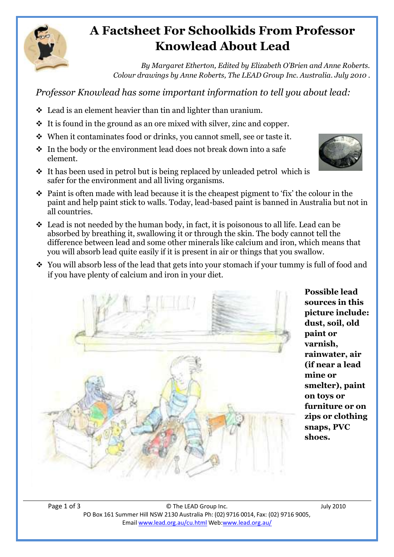

# **A Factsheet For Schoolkids From Professor Knowlead About Lead**

*By Margaret Etherton, Edited by Elizabeth O'Brien and Anne Roberts. Colour drawings by Anne Roberts, The LEAD Group Inc. Australia. July 2010 .*

*Professor Knowlead has some important information to tell you about lead:* 

- Lead is an element heavier than tin and lighter than uranium.
- $\cdot$  It is found in the ground as an ore mixed with silver, zinc and copper.
- When it contaminates food or drinks, you cannot smell, see or taste it.
- $\cdot$  In the body or the environment lead does not break down into a safe element.
- $\cdot$  It has been used in petrol but is being replaced by unleaded petrol which is safer for the environment and all living organisms.
- $\cdot$  Paint is often made with lead because it is the cheapest pigment to 'fix' the colour in the paint and help paint stick to walls. Today, lead-based paint is banned in Australia but not in all countries.
- $\cdot$  Lead is not needed by the human body, in fact, it is poisonous to all life. Lead can be absorbed by breathing it, swallowing it or through the skin. The body cannot tell the difference between lead and some other minerals like calcium and iron, which means that you will absorb lead quite easily if it is present in air or things that you swallow.
- \* You will absorb less of the lead that gets into your stomach if your tummy is full of food and if you have plenty of calcium and iron in your diet.



**Possible lead sources in this picture include: dust, soil, old paint or varnish, rainwater, air (if near a lead mine or smelter), paint on toys or furniture or on zips or clothing snaps, PVC shoes.**

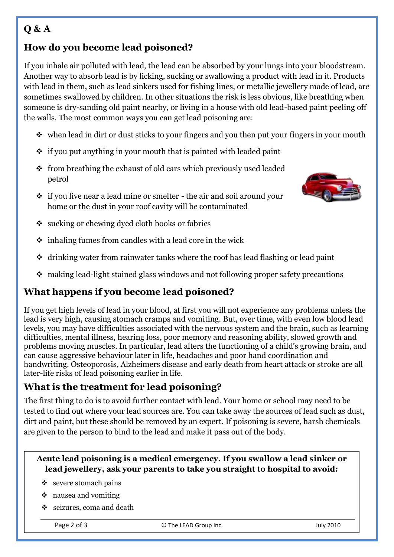## **Q & A**

### **How do you become lead poisoned?**

If you inhale air polluted with lead, the lead can be absorbed by your lungs into your bloodstream. Another way to absorb lead is by licking, sucking or swallowing a product with lead in it. Products with lead in them, such as lead sinkers used for fishing lines, or metallic jewellery made of lead, are sometimes swallowed by children. In other situations the risk is less obvious, like breathing when someone is dry-sanding old paint nearby, or living in a house with old lead-based paint peeling off the walls. The most common ways you can get lead poisoning are:

- $\cdot$  when lead in dirt or dust sticks to your fingers and you then put your fingers in your mouth
- $\div$  if you put anything in your mouth that is painted with leaded paint
- $\div$  from breathing the exhaust of old cars which previously used leaded petrol
- if you live near a lead mine or smelter the air and soil around your home or the dust in your roof cavity will be contaminated



- $\bullet$  sucking or chewing dyed cloth books or fabrics
- $\div$  inhaling fumes from candles with a lead core in the wick
- drinking water from rainwater tanks where the roof has lead flashing or lead paint
- making lead-light stained glass windows and not following proper safety precautions

### **What happens if you become lead poisoned?**

If you get high levels of lead in your blood, at first you will not experience any problems unless the lead is very high, causing stomach cramps and vomiting. But, over time, with even low blood lead levels, you may have difficulties associated with the nervous system and the brain, such as learning difficulties, mental illness, hearing loss, poor memory and reasoning ability, slowed growth and problems moving muscles. In particular, lead alters the functioning of a child's growing brain, and can cause aggressive behaviour later in life, headaches and poor hand coordination and handwriting. Osteoporosis, Alzheimers disease and early death from heart attack or stroke are all later-life risks of lead poisoning earlier in life.

#### **What is the treatment for lead poisoning?**

The first thing to do is to avoid further contact with lead. Your home or school may need to be tested to find out where your lead sources are. You can take away the sources of lead such as dust, dirt and paint, but these should be removed by an expert. If poisoning is severe, harsh chemicals are given to the person to bind to the lead and make it pass out of the body.

#### **Acute lead poisoning is a medical emergency. If you swallow a lead sinker or lead jewellery, ask your parents to take you straight to hospital to avoid:**

- $\div$  severe stomach pains
- $\div$  nausea and vomiting
- ❖ seizures, coma and death

Page 2 of 3 C The LEAD Group Inc.